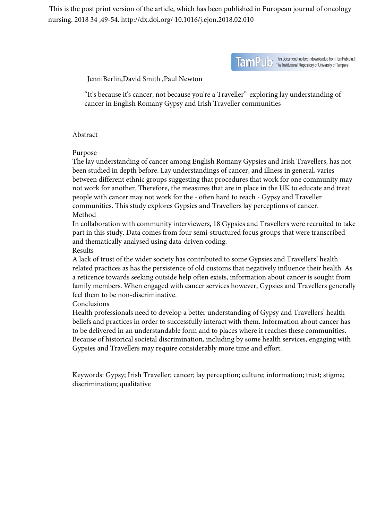This is the post print version of the article, which has been published in European journal of oncology nursing. 2018 34 ,49-54. http://dx.doi.org/ 10.1016/j.ejon.2018.02.010



JenniBerlin,David Smith ,Paul Newton

"It's because it's cancer, not because you're a Traveller"-exploring lay understanding of cancer in English Romany Gypsy and Irish Traveller communities

### Abstract

### Purpose

The lay understanding of cancer among English Romany Gypsies and Irish Travellers, has not been studied in depth before. Lay understandings of cancer, and illness in general, varies between different ethnic groups suggesting that procedures that work for one community may not work for another. Therefore, the measures that are in place in the UK to educate and treat people with cancer may not work for the - often hard to reach - Gypsy and Traveller communities. This study explores Gypsies and Travellers lay perceptions of cancer. Method

In collaboration with community interviewers, 18 Gypsies and Travellers were recruited to take part in this study. Data comes from four semi-structured focus groups that were transcribed and thematically analysed using data-driven coding. Results

A lack of trust of the wider society has contributed to some Gypsies and Travellers' health related practices as has the persistence of old customs that negatively influence their health. As a reticence towards seeking outside help often exists, information about cancer is sought from family members. When engaged with cancer services however, Gypsies and Travellers generally feel them to be non-discriminative.

### Conclusions

Health professionals need to develop a better understanding of Gypsy and Travellers' health beliefs and practices in order to successfully interact with them. Information about cancer has to be delivered in an understandable form and to places where it reaches these communities. Because of historical societal discrimination, including by some health services, engaging with Gypsies and Travellers may require considerably more time and effort.

Keywords: Gypsy; Irish Traveller; cancer; lay perception; culture; information; trust; stigma; discrimination; qualitative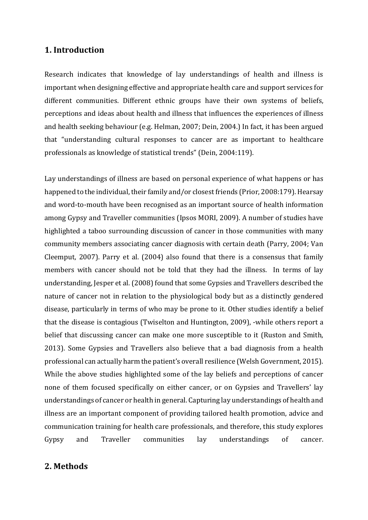### **1. Introduction**

Research indicates that knowledge of lay understandings of health and illness is important when designing effective and appropriate health care and support services for different communities. Different ethnic groups have their own systems of beliefs, perceptions and ideas about health and illness that influences the experiences of illness and health seeking behaviour (e.g. Helman, 2007; Dein, 2004.) In fact, it has been argued that "understanding cultural responses to cancer are as important to healthcare professionals as knowledge of statistical trends" (Dein, 2004:119).

Lay understandings of illness are based on personal experience of what happens or has happened to the individual, their family and/or closest friends (Prior, 2008:179). Hearsay and word-to-mouth have been recognised as an important source of health information among Gypsy and Traveller communities (Ipsos MORI, 2009). A number of studies have highlighted a taboo surrounding discussion of cancer in those communities with many community members associating cancer diagnosis with certain death (Parry, 2004; Van Cleemput, 2007). Parry et al. (2004) also found that there is a consensus that family members with cancer should not be told that they had the illness. In terms of lay understanding, Jesper et al. (2008) found that some Gypsies and Travellers described the nature of cancer not in relation to the physiological body but as a distinctly gendered disease, particularly in terms of who may be prone to it. Other studies identify a belief that the disease is contagious (Twiselton and Huntington, 2009), -while others report a belief that discussing cancer can make one more susceptible to it (Ruston and Smith, 2013). Some Gypsies and Travellers also believe that a bad diagnosis from a health professional can actually harm the patient's overall resilience (Welsh Government, 2015). While the above studies highlighted some of the lay beliefs and perceptions of cancer none of them focused specifically on either cancer, or on Gypsies and Travellers' lay understandings of cancer or health in general. Capturing lay understandings of health and illness are an important component of providing tailored health promotion, advice and communication training for health care professionals, and therefore, this study explores Gypsy and Traveller communities lay understandings of cancer.

### **2. Methods**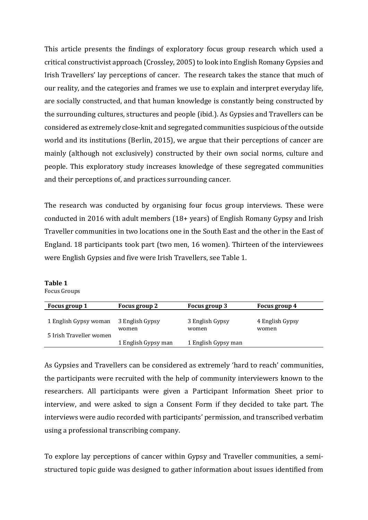This article presents the findings of exploratory focus group research which used a critical constructivist approach (Crossley, 2005) to look into English Romany Gypsies and Irish Travellers' lay perceptions of cancer. The research takes the stance that much of our reality, and the categories and frames we use to explain and interpret everyday life, are socially constructed, and that human knowledge is constantly being constructed by the surrounding cultures, structures and people (ibid.). As Gypsies and Travellers can be considered as extremely close-knit and segregated communities suspicious of the outside world and its institutions (Berlin, 2015), we argue that their perceptions of cancer are mainly (although not exclusively) constructed by their own social norms, culture and people. This exploratory study increases knowledge of these segregated communities and their perceptions of, and practices surrounding cancer.

The research was conducted by organising four focus group interviews. These were conducted in 2016 with adult members (18+ years) of English Romany Gypsy and Irish Traveller communities in two locations one in the South East and the other in the East of England. 18 participants took part (two men, 16 women). Thirteen of the interviewees were English Gypsies and five were Irish Travellers, see Table 1.

| Focus group 1                                    | Focus group 2            | Focus group 3            | Focus group 4            |
|--------------------------------------------------|--------------------------|--------------------------|--------------------------|
| 1 English Gypsy woman<br>5 Irish Traveller women | 3 English Gypsy<br>women | 3 English Gypsy<br>women | 4 English Gypsy<br>women |
|                                                  | 1 English Gypsy man      | 1 English Gypsy man      |                          |

**Table 1** Focus Groups

As Gypsies and Travellers can be considered as extremely 'hard to reach' communities, the participants were recruited with the help of community interviewers known to the researchers. All participants were given a Participant Information Sheet prior to interview, and were asked to sign a Consent Form if they decided to take part. The interviews were audio recorded with participants' permission, and transcribed verbatim using a professional transcribing company.

To explore lay perceptions of cancer within Gypsy and Traveller communities, a semistructured topic guide was designed to gather information about issues identified from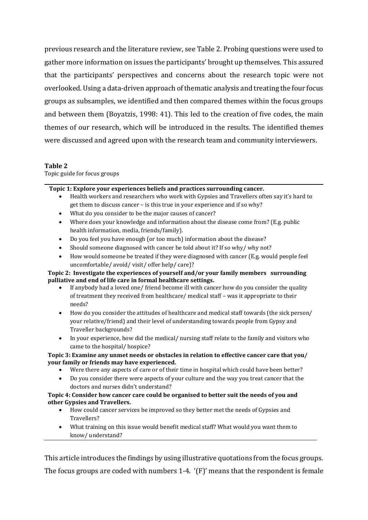previous research and the literature review, see Table 2. Probing questions were used to gather more information on issues the participants' brought up themselves. This assured that the participants' perspectives and concerns about the research topic were not overlooked. Using a data-driven approach of thematic analysis and treating the four focus groups as subsamples, we identified and then compared themes within the focus groups and between them (Boyatzis, 1998: 41). This led to the creation of five codes, the main themes of our research, which will be introduced in the results. The identified themes were discussed and agreed upon with the research team and community interviewers.

### **Table 2**

Topic guide for focus groups

### **Topic 1: Explore your experiences beliefs and practices surrounding cancer.**

- Health workers and researchers who work with Gypsies and Travellers often say it's hard to get them to discuss cancer – is this true in your experience and if so why?
- What do you consider to be the major causes of cancer?
- Where does your knowledge and information about the disease come from? (E.g. public health information, media, friends/family).
- Do you feel you have enough (or too much) information about the disease?
- Should someone diagnosed with cancer be told about it? If so why/ why not?
- How would someone be treated if they were diagnosed with cancer (E.g. would people feel uncomfortable/ avoid/ visit/ offer help/ care)?

**Topic 2:****Investigate the experiences of yourself and/or your family members surrounding palliative and end of life care in formal healthcare settings.**

- If anybody had a loved one/ friend become ill with cancer how do you consider the quality of treatment they received from healthcare/ medical staff – was it appropriate to their needs?
- How do you consider the attitudes of healthcare and medical staff towards (the sick person/ your relative/friend) and their level of understanding towards people from Gypsy and Traveller backgrounds?
- In your experience, how did the medical/ nursing staff relate to the family and visitors who came to the hospital/ hospice?

### **Topic 3: Examine any unmet needs or obstacles in relation to effective cancer care that you/ your family or friends may have experienced.**

- Were there any aspects of care or of their time in hospital which could have been better?
- Do you consider there were aspects of your culture and the way you treat cancer that the doctors and nurses didn't understand?

### **Topic 4: Consider how cancer care could be organised to better suit the needs of you and other Gypsies and Travellers.**

- How could cancer services be improved so they better met the needs of Gypsies and Travellers?
- What training on this issue would benefit medical staff? What would you want them to know/ understand?

This article introduces the findings by using illustrative quotations from the focus groups. The focus groups are coded with numbers 1-4. '(F)' means that the respondent is female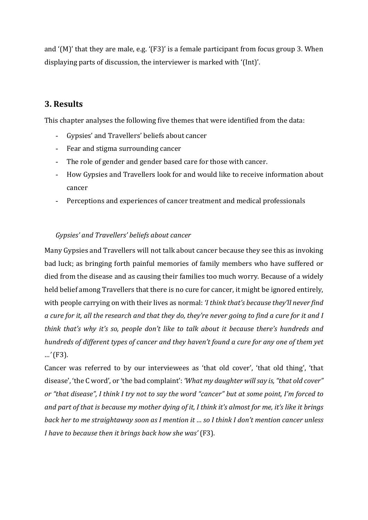and '(M)' that they are male, e.g. '(F3)' is a female participant from focus group 3. When displaying parts of discussion, the interviewer is marked with '(Int)'.

# **3. Results**

This chapter analyses the following five themes that were identified from the data:

- Gypsies' and Travellers' beliefs about cancer
- Fear and stigma surrounding cancer
- The role of gender and gender based care for those with cancer.
- How Gypsies and Travellers look for and would like to receive information about cancer
- Perceptions and experiences of cancer treatment and medical professionals

## *Gypsies' and Travellers' beliefs about cancer*

Many Gypsies and Travellers will not talk about cancer because they see this as invoking bad luck; as bringing forth painful memories of family members who have suffered or died from the disease and as causing their families too much worry. Because of a widely held belief among Travellers that there is no cure for cancer, it might be ignored entirely, with people carrying on with their lives as normal: *'I think that's because they'll never find a cure for it, all the research and that they do, they're never going to find a cure for it and I think that's why it's so, people don't like to talk about it because there's hundreds and hundreds of different types of cancer and they haven't found a cure for any one of them yet …'* (F3).

Cancer was referred to by our interviewees as 'that old cover', 'that old thing', 'that disease', 'the C word', or 'the bad complaint': *'What my daughter will say is, "that old cover" or "that disease", I think I try not to say the word "cancer" but at some point, I'm forced to and part of that is because my mother dying of it, I think it's almost for me, it's like it brings back her to me straightaway soon as I mention it … so I think I don't mention cancer unless I have to because then it brings back how she was'* (F3).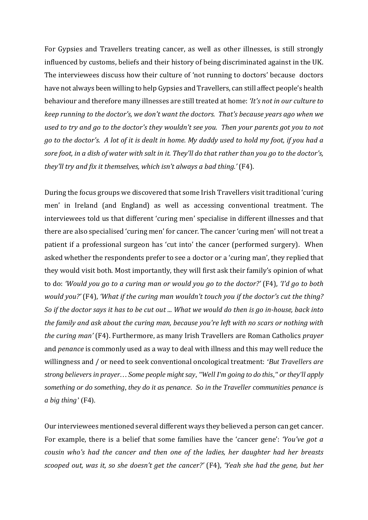For Gypsies and Travellers treating cancer, as well as other illnesses, is still strongly influenced by customs, beliefs and their history of being discriminated against in the UK. The interviewees discuss how their culture of 'not running to doctors' because doctors have not always been willing to help Gypsies and Travellers, can still affect people's health behaviour and therefore many illnesses are still treated at home: *'It's not in our culture to keep running to the doctor's, we don't want the doctors. That's because years ago when we used to try and go to the doctor's they wouldn't see you. Then your parents got you to not go to the doctor's. A lot of it is dealt in home. My daddy used to hold my foot, if you had a sore foot, in a dish of water with salt in it. They'll do that rather than you go to the doctor's, they'll try and fix it themselves, which isn't always a bad thing.'* (F4).

During the focus groups we discovered that some Irish Travellers visit traditional 'curing men' in Ireland (and England) as well as accessing conventional treatment. The interviewees told us that different 'curing men' specialise in different illnesses and that there are also specialised 'curing men' for cancer. The cancer 'curing men' will not treat a patient if a professional surgeon has 'cut into' the cancer (performed surgery). When asked whether the respondents prefer to see a doctor or a 'curing man', they replied that they would visit both. Most importantly, they will first ask their family's opinion of what to do: *'Would you go to a curing man or would you go to the doctor?'* (F4), *'I'd go to both would you?'* (F4), *'What if the curing man wouldn't touch you if the doctor's cut the thing? So if the doctor says it has to be cut out ... What we would do then is go in-house, back into the family and ask about the curing man, because you're left with no scars or nothing with the curing man'* (F4). Furthermore, as many Irish Travellers are Roman Catholics *prayer* and *penance* is commonly used as a way to deal with illness and this may well reduce the willingness and / or need to seek conventional oncological treatment: *'But Travellers are strong believers in prayer… Some people might say, "Well I'm going to do this," or they'll apply something or do something, they do it as penance. So in the Traveller communities penance is a big thing'* (F4).

Our interviewees mentioned several different ways they believed a person can get cancer. For example, there is a belief that some families have the 'cancer gene': *'You've got a cousin who's had the cancer and then one of the ladies, her daughter had her breasts scooped out, was it, so she doesn't get the cancer?'* (F4), *'Yeah she had the gene, but her*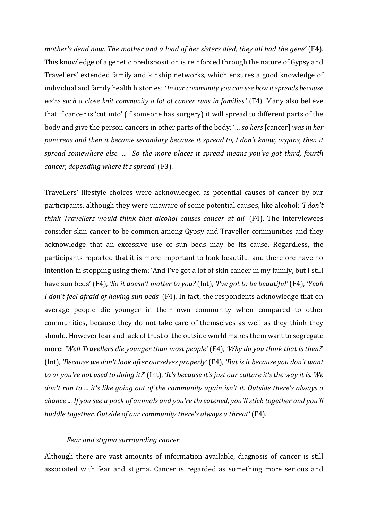*mother's dead now. The mother and a load of her sisters died, they all had the gene'* (F4)*.* This knowledge of a genetic predisposition is reinforced through the nature of Gypsy and Travellers' extended family and kinship networks, which ensures a good knowledge of individual and family health histories: *'In our community you can see how it spreads because we're such a close knit community a lot of cancer runs in families'* (F4). Many also believe that if cancer is 'cut into' (if someone has surgery) it will spread to different parts of the body and give the person cancers in other parts of the body: '*… so hers* [cancer] *was in her pancreas and then it became secondary because it spread to, I don't know, organs, then it spread somewhere else. … So the more places it spread means you've got third, fourth cancer, depending where it's spread'* (F3).

Travellers' lifestyle choices were acknowledged as potential causes of cancer by our participants, although they were unaware of some potential causes, like alcohol: *'I don't think Travellers would think that alcohol causes cancer at all'* (F4). The interviewees consider skin cancer to be common among Gypsy and Traveller communities and they acknowledge that an excessive use of sun beds may be its cause. Regardless, the participants reported that it is more important to look beautiful and therefore have no intention in stopping using them: 'And I've got a lot of skin cancer in my family, but I still have sun beds' (F4), *'So it doesn't matter to you?* (Int), *'I've got to be beautiful'* (F4), *'Yeah I don't feel afraid of having sun beds'* (F4)*.* In fact, the respondents acknowledge that on average people die younger in their own community when compared to other communities, because they do not take care of themselves as well as they think they should. However fear and lack of trust of the outside world makes them want to segregate more: *'Well Travellers die younger than most people'* (F4), *'Why do you think that is then?*' (Int), *'Because we don't look after ourselves properly'* (F4), *'But is it because you don't want to or you're not used to doing it?*' (Int), *'It's because it's just our culture it's the way it is. We don't run to ... it's like going out of the community again isn't it. Outside there's always a chance ... If you see a pack of animals and you're threatened, you'll stick together and you'll huddle together. Outside of our community there's always a threat'* (F4).

### *Fear and stigma surrounding cancer*

Although there are vast amounts of information available, diagnosis of cancer is still associated with fear and stigma. Cancer is regarded as something more serious and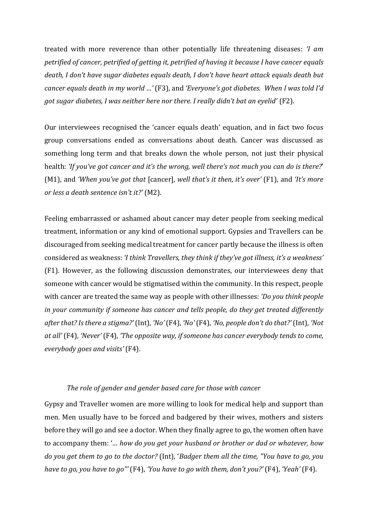treated with more reverence than other potentially life threatening diseases: *'I am petrified of cancer, petrified of getting it, petrified of having it because I have cancer equals death, I don't have sugar diabetes equals death, I don't have heart attack equals death but cancer equals death in my world …'* (F3), and *'Everyone's got diabetes. When I was told I'd got sugar diabetes, I was neither here nor there. I really didn't bat an eyelid'* (F2).

Our interviewees recognised the 'cancer equals death' equation, and in fact two focus group conversations ended as conversations about death. Cancer was discussed as something long term and that breaks down the whole person, not just their physical health: *'If you've got cancer and it's the wrong, well there's not much you can do is there?*' (M1), and *'When you've got that* [cancer]*, well that's it then, it's over'* (F1), and *'It's more or less a death sentence isn't it?'* (M2).

Feeling embarrassed or ashamed about cancer may deter people from seeking medical treatment, information or any kind of emotional support. Gypsies and Travellers can be discouraged from seeking medical treatment for cancer partly because the illness is often considered as weakness: *'I think Travellers, they think if they've got illness, it's a weakness'* (F1). However, as the following discussion demonstrates, our interviewees deny that someone with cancer would be stigmatised within the community. In this respect, people with cancer are treated the same way as people with other illnesses: *'Do you think people in your community if someone has cancer and tells people, do they get treated differently after that? Is there a stigma?'*(Int), *'No'*(F4), *'No'* (F4), *'No, people don't do that?'*(Int), *'Not at all'* (F4), *'Never'* (F4), *'The opposite way, if someone has cancer everybody tends to come, everybody goes and visits'* (F4).

### *The role of gender and gender based care for those with cancer*

Gypsy and Traveller women are more willing to look for medical help and support than men. Men usually have to be forced and badgered by their wives, mothers and sisters before they will go and see a doctor. When they finally agree to go, the women often have to accompany them: '*… how do you get your husband or brother or dad or whatever, how do you get them to go to the doctor?* (Int), '*Badger them all the time, "You have to go, you have to go, you have to go"'* (F4), *'You have to go with them, don't you?'* (F4), *'Yeah'* (F4).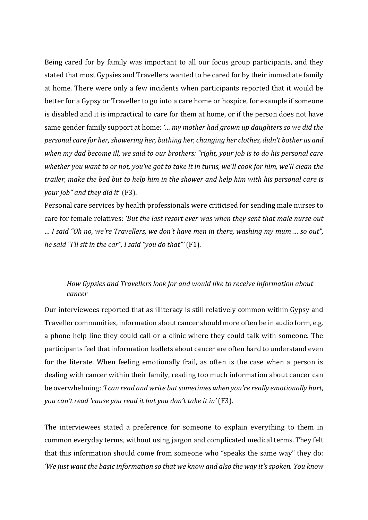Being cared for by family was important to all our focus group participants, and they stated that most Gypsies and Travellers wanted to be cared for by their immediate family at home. There were only a few incidents when participants reported that it would be better for a Gypsy or Traveller to go into a care home or hospice, for example if someone is disabled and it is impractical to care for them at home, or if the person does not have same gender family support at home: *'… my mother had grown up daughters so we did the personal care for her, showering her, bathing her, changing her clothes, didn't bother us and when my dad become ill, we said to our brothers: "right, your job is to do his personal care whether you want to or not, you've got to take it in turns, we'll cook for him, we'll clean the trailer, make the bed but to help him in the shower and help him with his personal care is your job" and they did it'* (F3).

Personal care services by health professionals were criticised for sending male nurses to care for female relatives: *'But the last resort ever was when they sent that male nurse out … I said "Oh no, we're Travellers, we don't have men in there, washing my mum … so out", he said "I'll sit in the car", I said "you do that"'* (F1).

## *How Gypsies and Travellers look for and would like to receive information about cancer*

Our interviewees reported that as illiteracy is still relatively common within Gypsy and Traveller communities, information about cancer should more often be in audio form, e.g. a phone help line they could call or a clinic where they could talk with someone. The participants feel that information leaflets about cancer are often hard to understand even for the literate. When feeling emotionally frail, as often is the case when a person is dealing with cancer within their family, reading too much information about cancer can be overwhelming: *'I can read and write but sometimes when you're really emotionally hurt, you can't read 'cause you read it but you don't take it in'* (F3).

The interviewees stated a preference for someone to explain everything to them in common everyday terms, without using jargon and complicated medical terms. They felt that this information should come from someone who "speaks the same way" they do: *'We just want the basic information so that we know and also the way it's spoken. You know*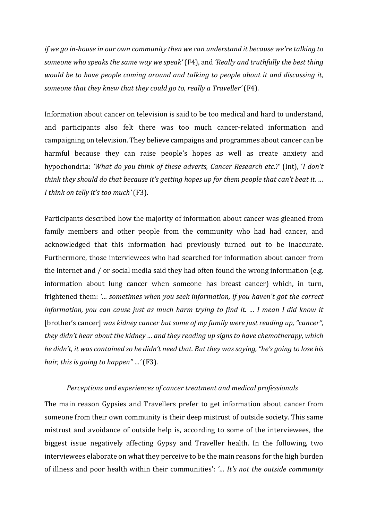*if we go in-house in our own community then we can understand it because we're talking to someone who speaks the same way we speak'* (F4), and *'Really and truthfully the best thing would be to have people coming around and talking to people about it and discussing it, someone that they knew that they could go to, really a Traveller'* (F4).

Information about cancer on television is said to be too medical and hard to understand, and participants also felt there was too much cancer-related information and campaigning on television. They believe campaigns and programmes about cancer can be harmful because they can raise people's hopes as well as create anxiety and hypochondria: *'What do you think of these adverts, Cancer Research etc.?'* (Int), '*I don't think they should do that because it's getting hopes up for them people that can't beat it. … I think on telly it's too much'* (F3).

Participants described how the majority of information about cancer was gleaned from family members and other people from the community who had had cancer, and acknowledged that this information had previously turned out to be inaccurate. Furthermore, those interviewees who had searched for information about cancer from the internet and / or social media said they had often found the wrong information (e.g. information about lung cancer when someone has breast cancer) which, in turn, frightened them: *'… sometimes when you seek information, if you haven't got the correct information, you can cause just as much harm trying to find it. … I mean I did know it*  [brother's cancer] *was kidney cancer but some of my family were just reading up, "cancer", they didn't hear about the kidney … and they reading up signs to have chemotherapy, which he didn't, it was contained so he didn't need that. But they was saying, "he's going to lose his hair, this is going to happen" …'* (F3).

### *Perceptions and experiences of cancer treatment and medical professionals*

The main reason Gypsies and Travellers prefer to get information about cancer from someone from their own community is their deep mistrust of outside society. This same mistrust and avoidance of outside help is, according to some of the interviewees, the biggest issue negatively affecting Gypsy and Traveller health. In the following, two interviewees elaborate on what they perceive to be the main reasons for the high burden of illness and poor health within their communities': *'… It's not the outside community*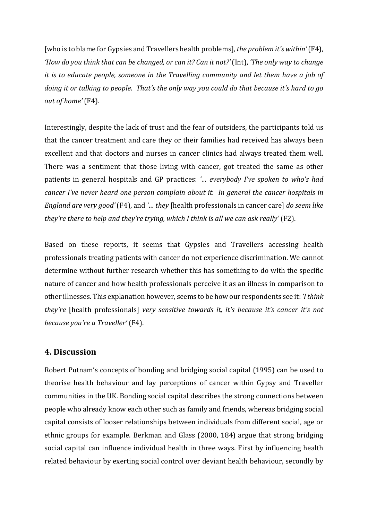[who is to blame for Gypsies and Travellers health problems]*, the problem it's within'*(F4), *'How do you think that can be changed, or can it? Can it not?'* (Int), *'The only way to change it is to educate people, someone in the Travelling community and let them have a job of doing it or talking to people. That's the only way you could do that because it's hard to go out of home'* (F4).

Interestingly, despite the lack of trust and the fear of outsiders, the participants told us that the cancer treatment and care they or their families had received has always been excellent and that doctors and nurses in cancer clinics had always treated them well. There was a sentiment that those living with cancer, got treated the same as other patients in general hospitals and GP practices: *'… everybody I've spoken to who's had cancer I've never heard one person complain about it. In general the cancer hospitals in England are very good'* (F4), and *'… they* [health professionals in cancer care] *do seem like they're there to help and they're trying, which I think is all we can ask really'* (F2).

Based on these reports, it seems that Gypsies and Travellers accessing health professionals treating patients with cancer do not experience discrimination. We cannot determine without further research whether this has something to do with the specific nature of cancer and how health professionals perceive it as an illness in comparison to other illnesses. This explanation however, seems to be how our respondents see it: *'I think they're* [health professionals] *very sensitive towards it, it's because it's cancer it's not because you're a Traveller'* (F4).

### **4. Discussion**

Robert Putnam's concepts of bonding and bridging social capital (1995) can be used to theorise health behaviour and lay perceptions of cancer within Gypsy and Traveller communities in the UK. Bonding social capital describes the strong connections between people who already know each other such as family and friends, whereas bridging social capital consists of looser relationships between individuals from different social, age or ethnic groups for example. Berkman and Glass (2000, 184) argue that strong bridging social capital can influence individual health in three ways. First by influencing health related behaviour by exerting social control over deviant health behaviour, secondly by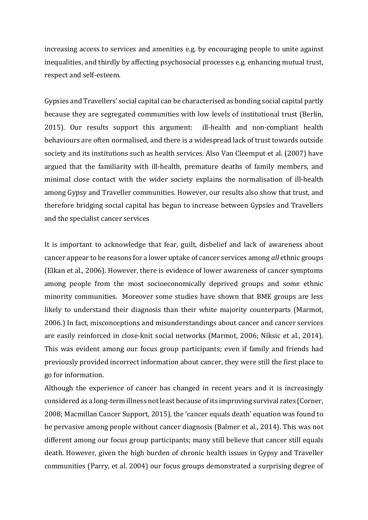increasing access to services and amenities e.g. by encouraging people to unite against inequalities, and thirdly by affecting psychosocial processes e.g. enhancing mutual trust, respect and self-esteem.

Gypsies and Travellers' social capital can be characterised as bonding social capital partly because they are segregated communities with low levels of institutional trust (Berlin, 2015). Our results support this argument: ill-health and non-compliant health behaviours are often normalised, and there is a widespread lack of trust towards outside society and its institutions such as health services. Also Van Cleemput et al. (2007) have argued that the familiarity with ill-health, premature deaths of family members, and minimal close contact with the wider society explains the normalisation of ill-health among Gypsy and Traveller communities. However, our results also show that trust, and therefore bridging social capital has begun to increase between Gypsies and Travellers and the specialist cancer services

It is important to acknowledge that fear, guilt, disbelief and lack of awareness about cancer appear to be reasons for a lower uptake of cancer services among *all* ethnic groups (Elkan et al., 2006). However, there is evidence of lower awareness of cancer symptoms among people from the most socioeconomically deprived groups and some ethnic minority communities. Moreover some studies have shown that BME groups are less likely to understand their diagnosis than their white majority counterparts (Marmot, 2006.) In fact, misconceptions and misunderstandings about cancer and cancer services are easily reinforced in close-knit social networks (Marmot, 2006; Niksic et al., 2014). This was evident among our focus group participants; even if family and friends had previously provided incorrect information about cancer, they were still the first place to go for information.

Although the experience of cancer has changed in recent years and it is increasingly considered as a long-term illness not least because of its improving survival rates (Corner, 2008; Macmillan Cancer Support, 2015), the 'cancer equals death' equation was found to be pervasive among people without cancer diagnosis (Balmer et al., 2014). This was not different among our focus group participants; many still believe that cancer still equals death. However, given the high burden of chronic health issues in Gypsy and Traveller communities (Parry, et al. 2004) our focus groups demonstrated a surprising degree of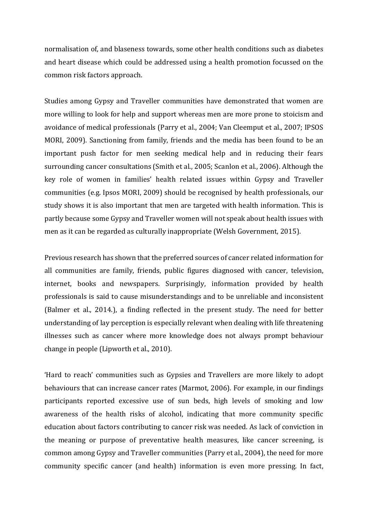normalisation of, and blaseness towards, some other health conditions such as diabetes and heart disease which could be addressed using a health promotion focussed on the common risk factors approach.

Studies among Gypsy and Traveller communities have demonstrated that women are more willing to look for help and support whereas men are more prone to stoicism and avoidance of medical professionals (Parry et al., 2004; Van Cleemput et al., 2007; IPSOS MORI, 2009). Sanctioning from family, friends and the media has been found to be an important push factor for men seeking medical help and in reducing their fears surrounding cancer consultations (Smith et al., 2005; Scanlon et al., 2006). Although the key role of women in families' health related issues within Gypsy and Traveller communities (e.g. Ipsos MORI, 2009) should be recognised by health professionals, our study shows it is also important that men are targeted with health information. This is partly because some Gypsy and Traveller women will not speak about health issues with men as it can be regarded as culturally inappropriate (Welsh Government, 2015).

Previous research has shown that the preferred sources of cancer related information for all communities are family, friends, public figures diagnosed with cancer, television, internet, books and newspapers. Surprisingly, information provided by health professionals is said to cause misunderstandings and to be unreliable and inconsistent (Balmer et al., 2014.), a finding reflected in the present study. The need for better understanding of lay perception is especially relevant when dealing with life threatening illnesses such as cancer where more knowledge does not always prompt behaviour change in people (Lipworth et al., 2010).

'Hard to reach' communities such as Gypsies and Travellers are more likely to adopt behaviours that can increase cancer rates (Marmot, 2006). For example, in our findings participants reported excessive use of sun beds, high levels of smoking and low awareness of the health risks of alcohol, indicating that more community specific education about factors contributing to cancer risk was needed. As lack of conviction in the meaning or purpose of preventative health measures, like cancer screening, is common among Gypsy and Traveller communities (Parry et al., 2004), the need for more community specific cancer (and health) information is even more pressing. In fact,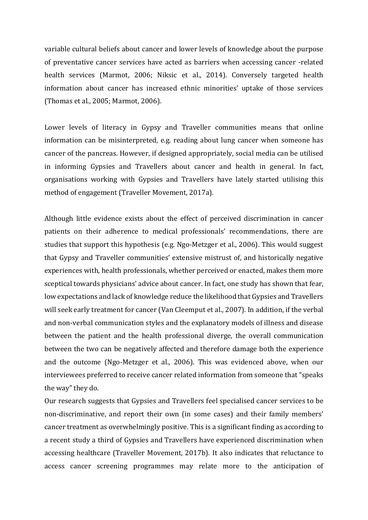variable cultural beliefs about cancer and lower levels of knowledge about the purpose of preventative cancer services have acted as barriers when accessing cancer -related health services (Marmot, 2006; Niksic et al., 2014). Conversely targeted health information about cancer has increased ethnic minorities' uptake of those services (Thomas et al., 2005; Marmot, 2006).

Lower levels of literacy in Gypsy and Traveller communities means that online information can be misinterpreted, e.g. reading about lung cancer when someone has cancer of the pancreas. However, if designed appropriately, social media can be utilised in informing Gypsies and Travellers about cancer and health in general. In fact, organisations working with Gypsies and Travellers have lately started utilising this method of engagement (Traveller Movement, 2017a).

Although little evidence exists about the effect of perceived discrimination in cancer patients on their adherence to medical professionals' recommendations, there are studies that support this hypothesis (e.g. Ngo-Metzger et al., 2006). This would suggest that Gypsy and Traveller communities' extensive mistrust of, and historically negative experiences with, health professionals, whether perceived or enacted, makes them more sceptical towards physicians' advice about cancer. In fact, one study has shown that fear, low expectations and lack of knowledge reduce the likelihood that Gypsies and Travellers will seek early treatment for cancer (Van Cleemput et al., 2007). In addition, if the verbal and non-verbal communication styles and the explanatory models of illness and disease between the patient and the health professional diverge, the overall communication between the two can be negatively affected and therefore damage both the experience and the outcome (Ngo-Metzger et al., 2006). This was evidenced above, when our interviewees preferred to receive cancer related information from someone that "speaks the way" they do.

Our research suggests that Gypsies and Travellers feel specialised cancer services to be non-discriminative, and report their own (in some cases) and their family members' cancer treatment as overwhelmingly positive. This is a significant finding as according to a recent study a third of Gypsies and Travellers have experienced discrimination when accessing healthcare (Traveller Movement, 2017b). It also indicates that reluctance to access cancer screening programmes may relate more to the anticipation of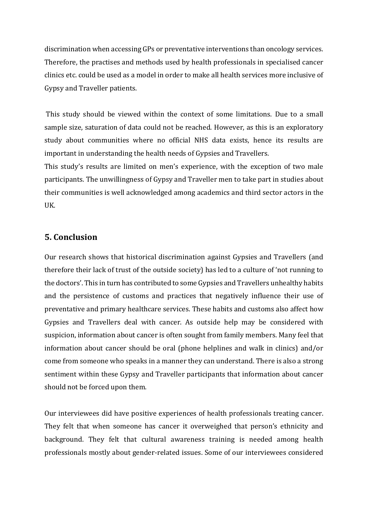discrimination when accessing GPs or preventative interventions than oncology services. Therefore, the practises and methods used by health professionals in specialised cancer clinics etc. could be used as a model in order to make all health services more inclusive of Gypsy and Traveller patients.

This study should be viewed within the context of some limitations. Due to a small sample size, saturation of data could not be reached. However, as this is an exploratory study about communities where no official NHS data exists, hence its results are important in understanding the health needs of Gypsies and Travellers.

This study's results are limited on men's experience, with the exception of two male participants. The unwillingness of Gypsy and Traveller men to take part in studies about their communities is well acknowledged among academics and third sector actors in the UK.

# **5. Conclusion**

Our research shows that historical discrimination against Gypsies and Travellers (and therefore their lack of trust of the outside society) has led to a culture of 'not running to the doctors'. This in turn has contributed to some Gypsies and Travellers unhealthy habits and the persistence of customs and practices that negatively influence their use of preventative and primary healthcare services. These habits and customs also affect how Gypsies and Travellers deal with cancer. As outside help may be considered with suspicion, information about cancer is often sought from family members. Many feel that information about cancer should be oral (phone helplines and walk in clinics) and/or come from someone who speaks in a manner they can understand. There is also a strong sentiment within these Gypsy and Traveller participants that information about cancer should not be forced upon them.

Our interviewees did have positive experiences of health professionals treating cancer. They felt that when someone has cancer it overweighed that person's ethnicity and background. They felt that cultural awareness training is needed among health professionals mostly about gender-related issues. Some of our interviewees considered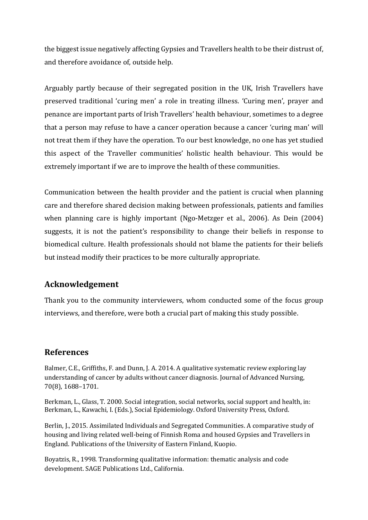the biggest issue negatively affecting Gypsies and Travellers health to be their distrust of, and therefore avoidance of, outside help.

Arguably partly because of their segregated position in the UK, Irish Travellers have preserved traditional 'curing men' a role in treating illness. 'Curing men', prayer and penance are important parts of Irish Travellers' health behaviour, sometimes to a degree that a person may refuse to have a cancer operation because a cancer 'curing man' will not treat them if they have the operation. To our best knowledge, no one has yet studied this aspect of the Traveller communities' holistic health behaviour. This would be extremely important if we are to improve the health of these communities.

Communication between the health provider and the patient is crucial when planning care and therefore shared decision making between professionals, patients and families when planning care is highly important (Ngo-Metzger et al., 2006). As Dein (2004) suggests, it is not the patient's responsibility to change their beliefs in response to biomedical culture. Health professionals should not blame the patients for their beliefs but instead modify their practices to be more culturally appropriate.

# **Acknowledgement**

Thank you to the community interviewers, whom conducted some of the focus group interviews, and therefore, were both a crucial part of making this study possible.

# **References**

Balmer, C.E., Griffiths, F. and Dunn, J. A. 2014. A qualitative systematic review exploring lay understanding of cancer by adults without cancer diagnosis. Journal of Advanced Nursing, 70(8), 1688–1701.

Berkman, L., Glass, T. 2000. Social integration, social networks, social support and health, in: Berkman, L., Kawachi, I. (Eds.), Social Epidemiology. Oxford University Press, Oxford.

Berlin, J., 2015. Assimilated Individuals and Segregated Communities. A comparative study of housing and living related well-being of Finnish Roma and housed Gypsies and Travellers in England. Publications of the University of Eastern Finland, Kuopio.

Boyatzis, R., 1998. Transforming qualitative information: thematic analysis and code development. SAGE Publications Ltd., California.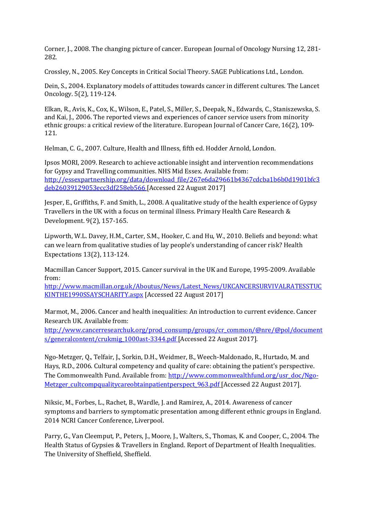Corner, J., 2008. The changing picture of cancer. European Journal of Oncology Nursing 12, 281- 282.

Crossley, N., 2005. Key Concepts in Critical Social Theory. SAGE Publications Ltd., London.

Dein, S., 2004. Explanatory models of attitudes towards cancer in different cultures. The Lancet Oncology. 5(2), 119-124.

Elkan, R., Avis, K., Cox, K., Wilson, E., Patel, S., Miller, S., Deepak, N., Edwards, C., Staniszewska, S. and Kai, J., 2006. The reported views and experiences of cancer service users from minority ethnic groups: a critical review of the literature. European Journal of Cancer Care, 16(2), 109- 121.

Helman, C. G., 2007. Culture, Health and Illness, fifth ed. Hodder Arnold, London.

Ipsos MORI, 2009. Research to achieve actionable insight and intervention recommendations for Gypsy and Travelling communities. NHS Mid Essex. Available from: [http://essexpartnership.org/data/download\\_file/267e6da29661b4367cdcba1b6b0d1901bfc3](http://essexpartnership.org/data/download_file/267e6da29661b4367cdcba1b6b0d1901bfc3deb26039129053ecc3df258eb566) [deb26039129053ecc3df258eb566](http://essexpartnership.org/data/download_file/267e6da29661b4367cdcba1b6b0d1901bfc3deb26039129053ecc3df258eb566) [Accessed 22 August 2017]

Jesper, E., Griffiths, F. and Smith, L., 2008. A qualitative study of the health experience of Gypsy Travellers in the UK with a focus on terminal illness[. Primary Health Care Research &](http://journals.cambridge.org/action/displayJournal?jid=PHC)  [Development.](http://journals.cambridge.org/action/displayJournal?jid=PHC) 9(2), 157-165.

Lipworth, W.L. Davey, H.M., Carter, S.M., Hooker, C. and Hu, W., 2010. Beliefs and beyond: what can we learn from qualitative studies of lay people's understanding of cancer risk? Health Expectations 13(2), 113-124.

Macmillan Cancer Support, 2015. Cancer survival in the UK and Europe, 1995-2009. Available from:

[http://www.macmillan.org.uk/Aboutus/News/Latest\\_News/UKCANCERSURVIVALRATESSTUC](http://www.macmillan.org.uk/Aboutus/News/Latest_News/UKCANCERSURVIVALRATESSTUCKINTHE1990SSAYSCHARITY.aspx) [KINTHE1990SSAYSCHARITY.aspx](http://www.macmillan.org.uk/Aboutus/News/Latest_News/UKCANCERSURVIVALRATESSTUCKINTHE1990SSAYSCHARITY.aspx) [Accessed 22 August 2017]

Marmot, M., 2006. Cancer and health inequalities: An introduction to current evidence. Cancer Research UK. Available from:

[http://www.cancerresearchuk.org/prod\\_consump/groups/cr\\_common/@nre/@pol/document](http://www.cancerresearchuk.org/prod_consump/groups/cr_common/@nre/@pol/documents/generalcontent/crukmig_1000ast-3344.pdf) s/generalcontent/crukmig 1000ast-3344.pdf [Accessed 22 August 2017].

Ngo-Metzger, Q., Telfair, J., Sorkin, D.H., Weidmer, B., Weech-Maldonado, R., Hurtado, M. and Hays, R.D., 2006. Cultural competency and quality of care: obtaining the patient's perspective. The Commonwealth Fund. Available from: [http://www.commonwealthfund.org/usr\\_doc/Ngo-](http://www.commonwealthfund.org/usr_doc/Ngo-Metzger_cultcompqualitycareobtainpatientperspect_963.pdf)[Metzger\\_cultcompqualitycareobtainpatientperspect\\_963.pdf](http://www.commonwealthfund.org/usr_doc/Ngo-Metzger_cultcompqualitycareobtainpatientperspect_963.pdf) [Accessed 22 August 2017].

Niksic, M., Forbes, L., Rachet, B., Wardle, J. and Ramirez, A., 2014. Awareness of cancer symptoms and barriers to symptomatic presentation among different ethnic groups in England. 2014 NCRI Cancer Conference, Liverpool.

Parry, G., Van Cleemput, P., Peters, J., Moore, J., Walters, S., Thomas, K. and Cooper, C., 2004. The Health Status of Gypsies & Travellers in England. Report of Department of Health Inequalities. The University of Sheffield, Sheffield.